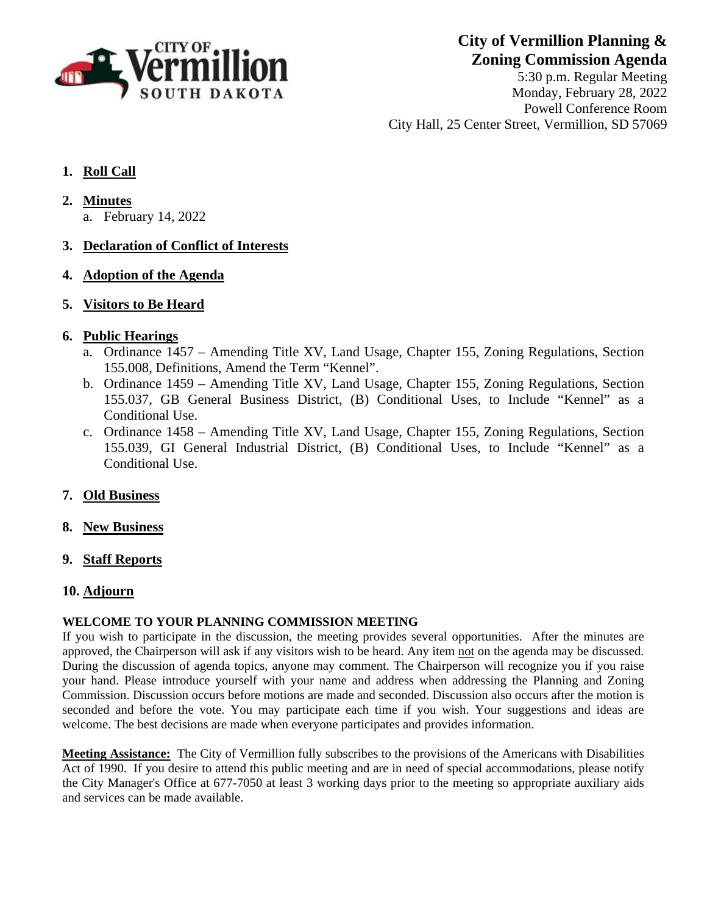

**City of Vermillion Planning & Zoning Commission Agenda**

5:30 p.m. Regular Meeting Monday, February 28, 2022 Powell Conference Room City Hall, 25 Center Street, Vermillion, SD 57069

# **1. Roll Call**

- **2. Minutes**
	- a. February 14, 2022

## **3. Declaration of Conflict of Interests**

**4. Adoption of the Agenda**

## **5. Visitors to Be Heard**

## **6. Public Hearings**

- a. Ordinance 1457 Amending Title XV, Land Usage, Chapter 155, Zoning Regulations, Section 155.008, Definitions, Amend the Term "Kennel".
- b. Ordinance 1459 Amending Title XV, Land Usage, Chapter 155, Zoning Regulations, Section 155.037, GB General Business District, (B) Conditional Uses, to Include "Kennel" as a Conditional Use.
- c. Ordinance 1458 Amending Title XV, Land Usage, Chapter 155, Zoning Regulations, Section 155.039, GI General Industrial District, (B) Conditional Uses, to Include "Kennel" as a Conditional Use.

## **7. Old Business**

- **8. New Business**
- **9. Staff Reports**

## **10. Adjourn**

## **WELCOME TO YOUR PLANNING COMMISSION MEETING**

If you wish to participate in the discussion, the meeting provides several opportunities. After the minutes are approved, the Chairperson will ask if any visitors wish to be heard. Any item not on the agenda may be discussed. During the discussion of agenda topics, anyone may comment. The Chairperson will recognize you if you raise your hand. Please introduce yourself with your name and address when addressing the Planning and Zoning Commission. Discussion occurs before motions are made and seconded. Discussion also occurs after the motion is seconded and before the vote. You may participate each time if you wish. Your suggestions and ideas are welcome. The best decisions are made when everyone participates and provides information.

**Meeting Assistance:** The City of Vermillion fully subscribes to the provisions of the Americans with Disabilities Act of 1990. If you desire to attend this public meeting and are in need of special accommodations, please notify the City Manager's Office at 677-7050 at least 3 working days prior to the meeting so appropriate auxiliary aids and services can be made available.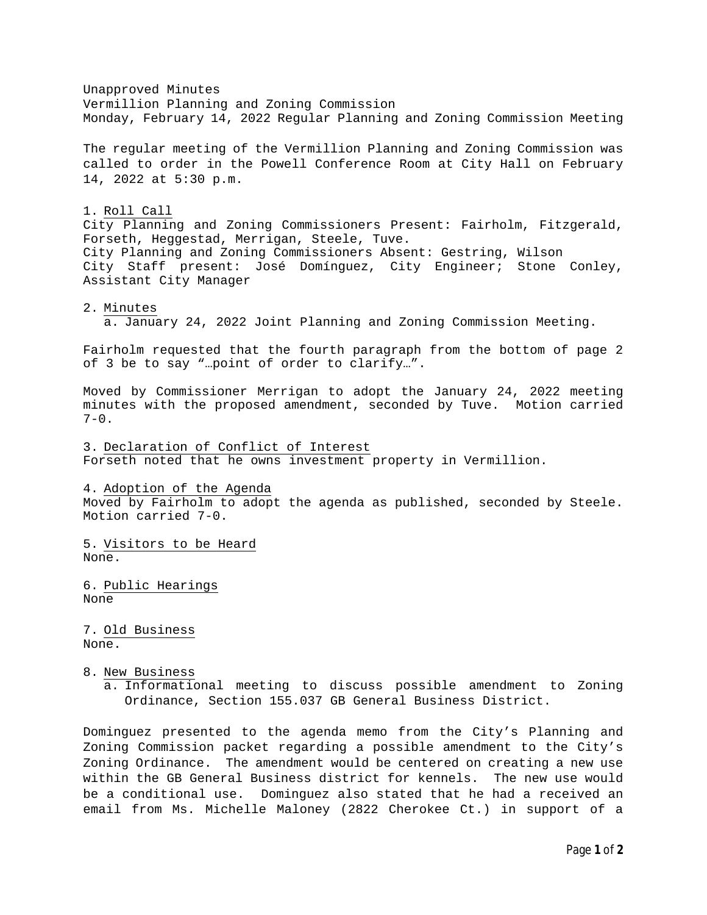Unapproved Minutes Vermillion Planning and Zoning Commission Monday, February 14, 2022 Regular Planning and Zoning Commission Meeting The regular meeting of the Vermillion Planning and Zoning Commission was called to order in the Powell Conference Room at City Hall on February 14, 2022 at 5:30 p.m. 1. Roll Call City Planning and Zoning Commissioners Present: Fairholm, Fitzgerald, Forseth, Heggestad, Merrigan, Steele, Tuve. City Planning and Zoning Commissioners Absent: Gestring, Wilson City Staff present: José Domínguez, City Engineer; Stone Conley, Assistant City Manager 2. Minutes a. January 24, 2022 Joint Planning and Zoning Commission Meeting. Fairholm requested that the fourth paragraph from the bottom of page 2 of 3 be to say "…point of order to clarify…". Moved by Commissioner Merrigan to adopt the January 24, 2022 meeting minutes with the proposed amendment, seconded by Tuve. Motion carried  $7 - 0$ . 3. Declaration of Conflict of Interest Forseth noted that he owns investment property in Vermillion. 4. Adoption of the Agenda Moved by Fairholm to adopt the agenda as published, seconded by Steele. Motion carried 7-0. 5. Visitors to be Heard None. 6. Public Hearings None 7. Old Business None. 8. New Business a. Informational meeting to discuss possible amendment to Zoning Ordinance, Section 155.037 GB General Business District. Dominguez presented to the agenda memo from the City's Planning and Zoning Commission packet regarding a possible amendment to the City's Zoning Ordinance. The amendment would be centered on creating a new use

within the GB General Business district for kennels. The new use would be a conditional use. Dominguez also stated that he had a received an email from Ms. Michelle Maloney (2822 Cherokee Ct.) in support of a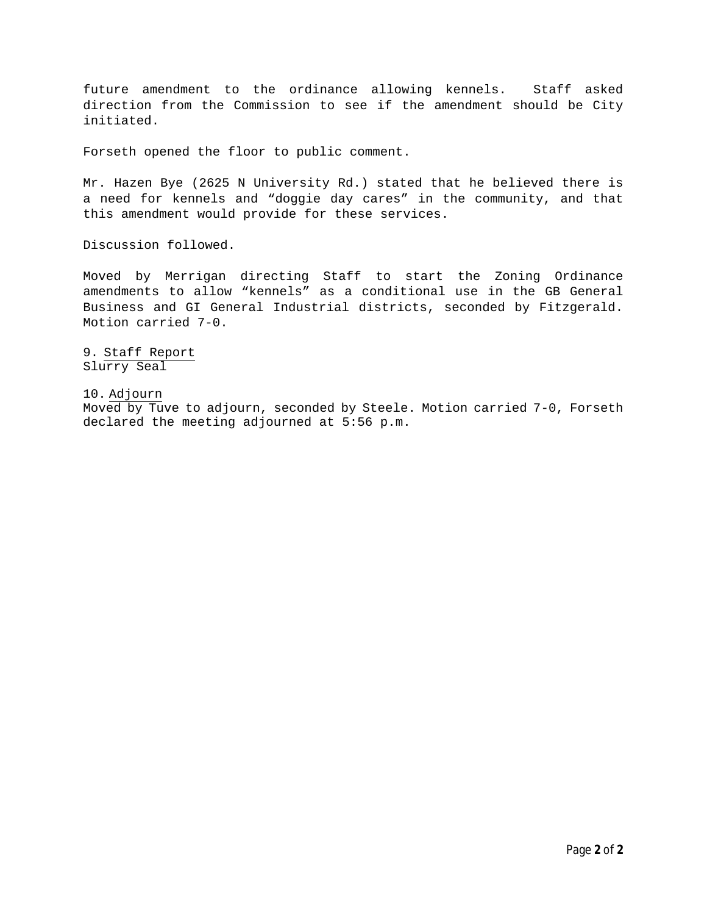future amendment to the ordinance allowing kennels. Staff asked direction from the Commission to see if the amendment should be City initiated.

Forseth opened the floor to public comment.

Mr. Hazen Bye (2625 N University Rd.) stated that he believed there is a need for kennels and "doggie day cares" in the community, and that this amendment would provide for these services.

Discussion followed.

Moved by Merrigan directing Staff to start the Zoning Ordinance amendments to allow "kennels" as a conditional use in the GB General Business and GI General Industrial districts, seconded by Fitzgerald. Motion carried 7-0.

9. Staff Report Slurry Seal

10. Adjourn

Moved by Tuve to adjourn, seconded by Steele. Motion carried 7-0, Forseth declared the meeting adjourned at 5:56 p.m.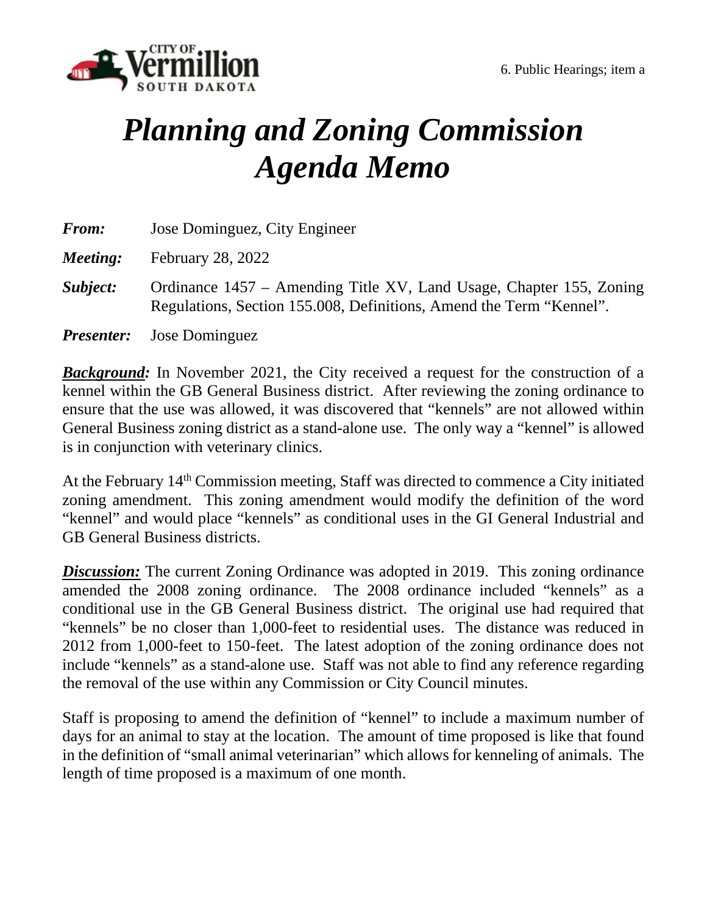

# *Planning and Zoning Commission Agenda Memo*

| <b>From:</b> | Jose Dominguez, City Engineer                                                                                                              |
|--------------|--------------------------------------------------------------------------------------------------------------------------------------------|
| Meeting:     | <b>February 28, 2022</b>                                                                                                                   |
| Subject:     | Ordinance 1457 – Amending Title XV, Land Usage, Chapter 155, Zoning<br>Regulations, Section 155.008, Definitions, Amend the Term "Kennel". |
|              | <b><i>Presenter:</i></b> Jose Dominguez                                                                                                    |

*Background:* In November 2021, the City received a request for the construction of a kennel within the GB General Business district. After reviewing the zoning ordinance to ensure that the use was allowed, it was discovered that "kennels" are not allowed within General Business zoning district as a stand-alone use. The only way a "kennel" is allowed is in conjunction with veterinary clinics.

At the February 14<sup>th</sup> Commission meeting, Staff was directed to commence a City initiated zoning amendment. This zoning amendment would modify the definition of the word "kennel" and would place "kennels" as conditional uses in the GI General Industrial and GB General Business districts.

*Discussion:* The current Zoning Ordinance was adopted in 2019. This zoning ordinance amended the 2008 zoning ordinance. The 2008 ordinance included "kennels" as a conditional use in the GB General Business district. The original use had required that "kennels" be no closer than 1,000-feet to residential uses. The distance was reduced in 2012 from 1,000-feet to 150-feet. The latest adoption of the zoning ordinance does not include "kennels" as a stand-alone use. Staff was not able to find any reference regarding the removal of the use within any Commission or City Council minutes.

Staff is proposing to amend the definition of "kennel" to include a maximum number of days for an animal to stay at the location. The amount of time proposed is like that found in the definition of "small animal veterinarian" which allows for kenneling of animals. The length of time proposed is a maximum of one month.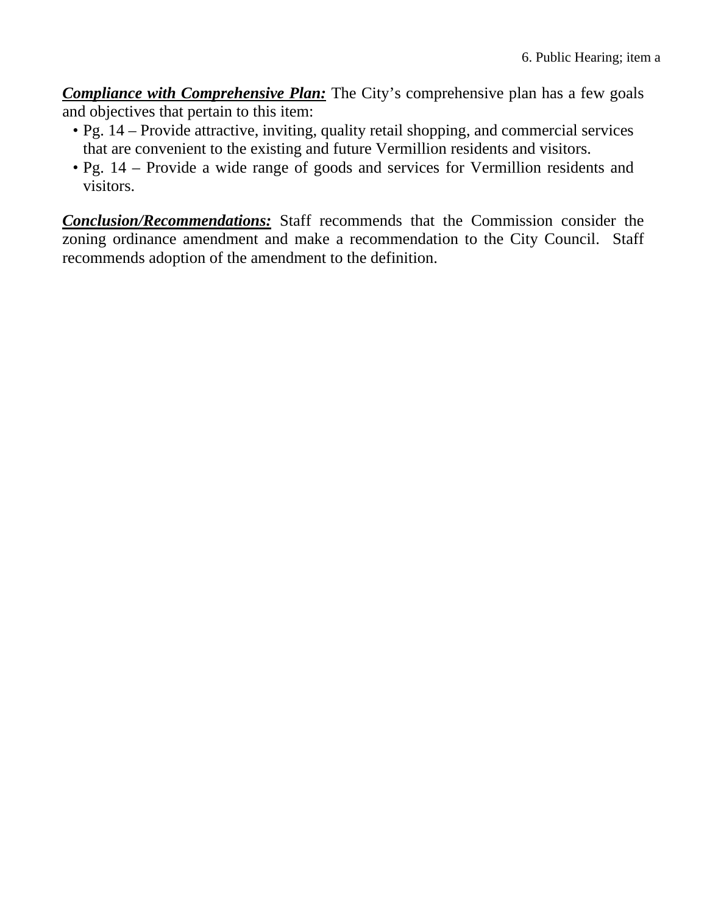*Compliance with Comprehensive Plan:* The City's comprehensive plan has a few goals and objectives that pertain to this item:

- Pg. 14 Provide attractive, inviting, quality retail shopping, and commercial services that are convenient to the existing and future Vermillion residents and visitors.
- Pg. 14 Provide a wide range of goods and services for Vermillion residents and visitors.

*Conclusion/Recommendations:* Staff recommends that the Commission consider the zoning ordinance amendment and make a recommendation to the City Council. Staff recommends adoption of the amendment to the definition.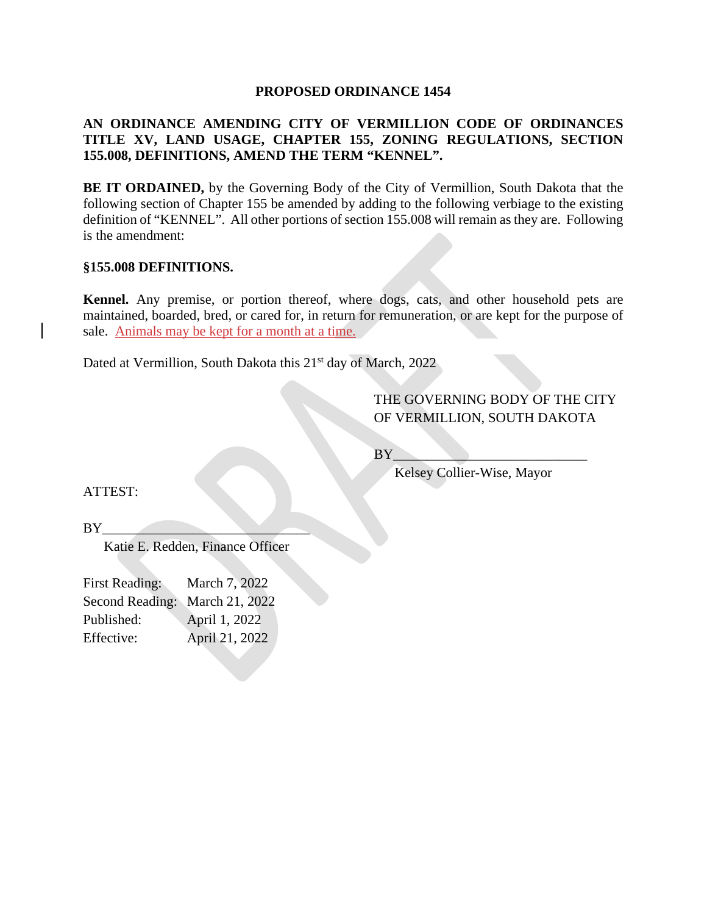#### **PROPOSED ORDINANCE 1454**

# **AN ORDINANCE AMENDING CITY OF VERMILLION CODE OF ORDINANCES TITLE XV, LAND USAGE, CHAPTER 155, ZONING REGULATIONS, SECTION 155.008, DEFINITIONS, AMEND THE TERM "KENNEL".**

**BE IT ORDAINED,** by the Governing Body of the City of Vermillion, South Dakota that the following section of Chapter 155 be amended by adding to the following verbiage to the existing definition of "KENNEL". All other portions of section 155.008 will remain as they are. Following is the amendment:

#### **§155.008 DEFINITIONS.**

**Kennel.** Any premise, or portion thereof, where dogs, cats, and other household pets are maintained, boarded, bred, or cared for, in return for remuneration, or are kept for the purpose of sale. Animals may be kept for a month at a time.

Dated at Vermillion, South Dakota this 21<sup>st</sup> day of March, 2022

# THE GOVERNING BODY OF THE CITY OF VERMILLION, SOUTH DAKOTA

 $BY$ 

Kelsey Collier-Wise, Mayor

ATTEST:

 $BY_{-}$ 

Katie E. Redden, Finance Officer

| March 7, 2022                  |
|--------------------------------|
| Second Reading: March 21, 2022 |
|                                |
| April 21, 2022                 |
|                                |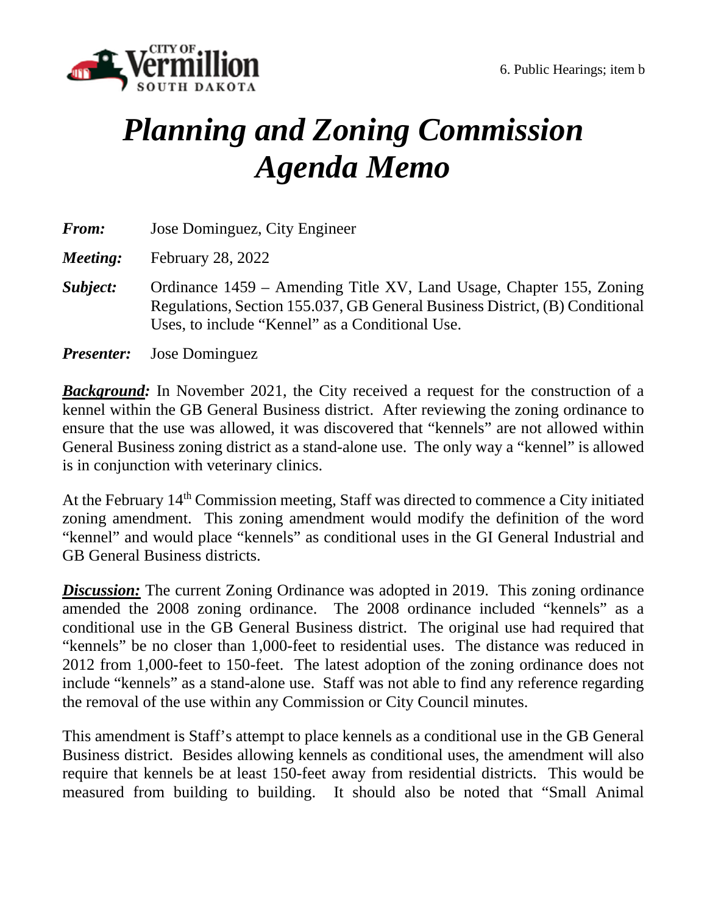

# *Planning and Zoning Commission Agenda Memo*

| <b>From:</b> | Jose Dominguez, City Engineer                                                                                                                                                                         |
|--------------|-------------------------------------------------------------------------------------------------------------------------------------------------------------------------------------------------------|
| Meeting:     | <b>February 28, 2022</b>                                                                                                                                                                              |
| Subject:     | Ordinance 1459 – Amending Title XV, Land Usage, Chapter 155, Zoning<br>Regulations, Section 155.037, GB General Business District, (B) Conditional<br>Uses, to include "Kennel" as a Conditional Use. |
|              | <b><i>Presenter:</i></b> Jose Dominguez                                                                                                                                                               |

*Background:* In November 2021, the City received a request for the construction of a kennel within the GB General Business district. After reviewing the zoning ordinance to ensure that the use was allowed, it was discovered that "kennels" are not allowed within General Business zoning district as a stand-alone use. The only way a "kennel" is allowed is in conjunction with veterinary clinics.

At the February 14<sup>th</sup> Commission meeting, Staff was directed to commence a City initiated zoning amendment. This zoning amendment would modify the definition of the word "kennel" and would place "kennels" as conditional uses in the GI General Industrial and GB General Business districts.

**Discussion:** The current Zoning Ordinance was adopted in 2019. This zoning ordinance amended the 2008 zoning ordinance. The 2008 ordinance included "kennels" as a conditional use in the GB General Business district. The original use had required that "kennels" be no closer than 1,000-feet to residential uses. The distance was reduced in 2012 from 1,000-feet to 150-feet. The latest adoption of the zoning ordinance does not include "kennels" as a stand-alone use. Staff was not able to find any reference regarding the removal of the use within any Commission or City Council minutes.

This amendment is Staff's attempt to place kennels as a conditional use in the GB General Business district. Besides allowing kennels as conditional uses, the amendment will also require that kennels be at least 150-feet away from residential districts. This would be measured from building to building. It should also be noted that "Small Animal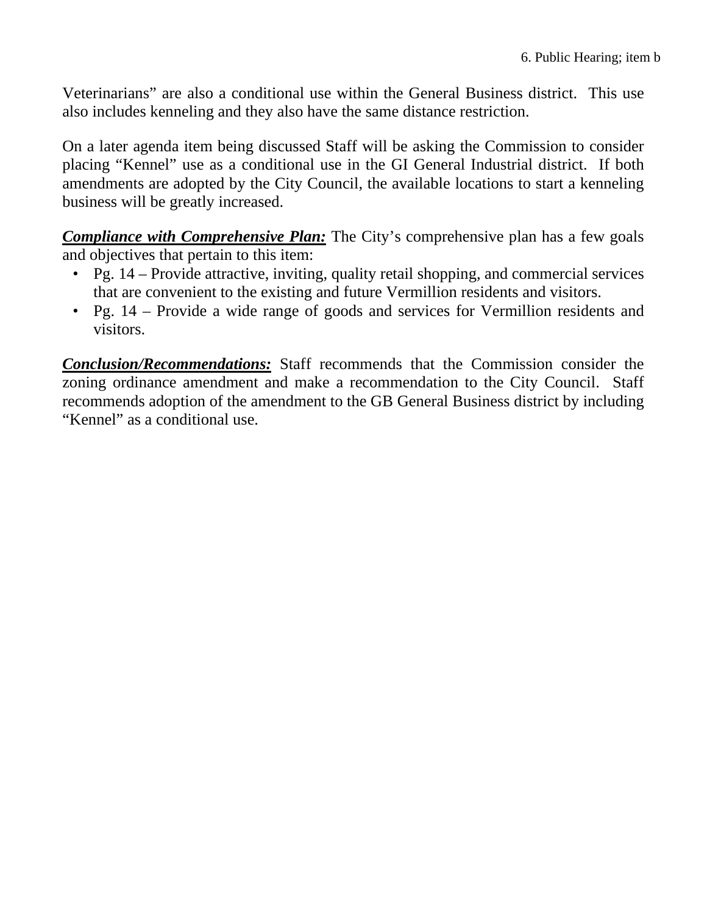Veterinarians" are also a conditional use within the General Business district. This use also includes kenneling and they also have the same distance restriction.

On a later agenda item being discussed Staff will be asking the Commission to consider placing "Kennel" use as a conditional use in the GI General Industrial district. If both amendments are adopted by the City Council, the available locations to start a kenneling business will be greatly increased.

*Compliance with Comprehensive Plan:* The City's comprehensive plan has a few goals and objectives that pertain to this item:

- Pg. 14 Provide attractive, inviting, quality retail shopping, and commercial services that are convenient to the existing and future Vermillion residents and visitors.
- Pg. 14 Provide a wide range of goods and services for Vermillion residents and visitors.

*Conclusion/Recommendations:* Staff recommends that the Commission consider the zoning ordinance amendment and make a recommendation to the City Council. Staff recommends adoption of the amendment to the GB General Business district by including "Kennel" as a conditional use.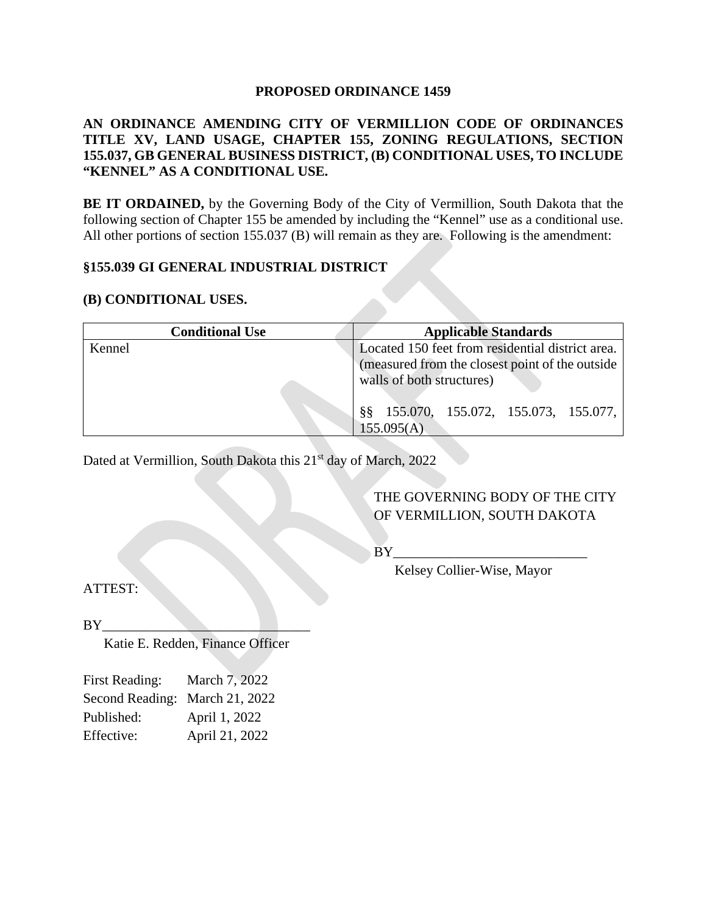#### **PROPOSED ORDINANCE 1459**

# **AN ORDINANCE AMENDING CITY OF VERMILLION CODE OF ORDINANCES TITLE XV, LAND USAGE, CHAPTER 155, ZONING REGULATIONS, SECTION 155.037, GB GENERAL BUSINESS DISTRICT, (B) CONDITIONAL USES, TO INCLUDE "KENNEL" AS A CONDITIONAL USE.**

**BE IT ORDAINED,** by the Governing Body of the City of Vermillion, South Dakota that the following section of Chapter 155 be amended by including the "Kennel" use as a conditional use. All other portions of section 155.037 (B) will remain as they are. Following is the amendment:

## **§155.039 GI GENERAL INDUSTRIAL DISTRICT**

## **(B) CONDITIONAL USES.**

| <b>Conditional Use</b> | <b>Applicable Standards</b>                                                                                                                                                 |
|------------------------|-----------------------------------------------------------------------------------------------------------------------------------------------------------------------------|
| Kennel                 | Located 150 feet from residential district area.<br>(measured from the closest point of the outside)<br>walls of both structures)<br>88 155.070, 155.072, 155.073, 155.077, |
|                        | 155.095(A)                                                                                                                                                                  |

Dated at Vermillion, South Dakota this 21<sup>st</sup> day of March, 2022

# THE GOVERNING BODY OF THE CITY OF VERMILLION, SOUTH DAKOTA

 $BY$ 

Kelsey Collier-Wise, Mayor

ATTEST:

 $BY$ 

Katie E. Redden, Finance Officer

| <b>First Reading:</b>          | March 7, 2022  |
|--------------------------------|----------------|
| Second Reading: March 21, 2022 |                |
| Published:                     | April 1, 2022  |
| Effective:                     | April 21, 2022 |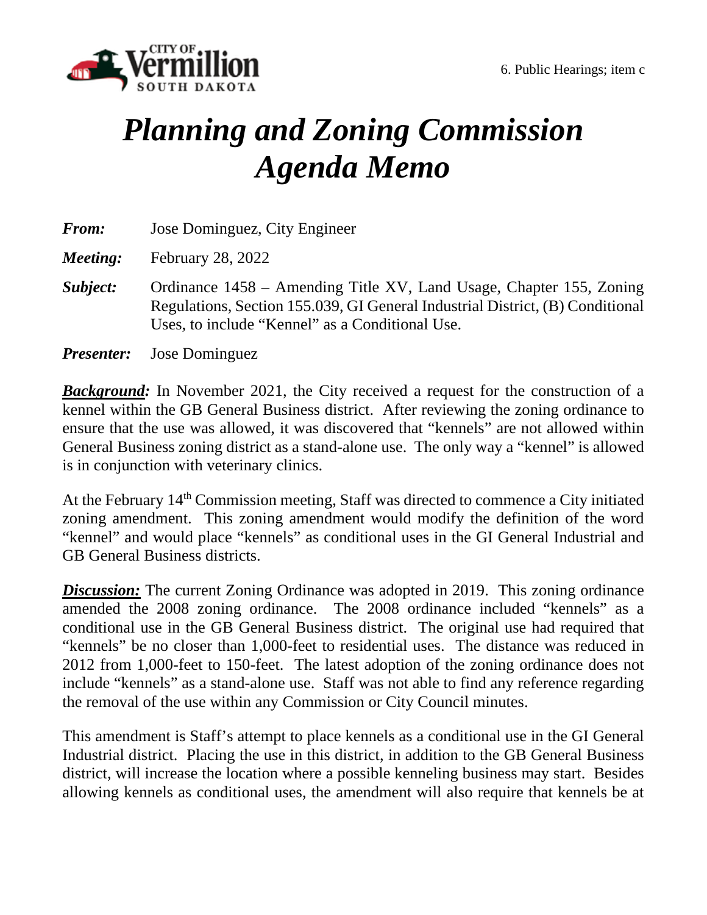

# *Planning and Zoning Commission Agenda Memo*

| <b>From:</b> | Jose Dominguez, City Engineer                                                                                                                                                                           |
|--------------|---------------------------------------------------------------------------------------------------------------------------------------------------------------------------------------------------------|
| Meeting:     | <b>February 28, 2022</b>                                                                                                                                                                                |
| Subject:     | Ordinance 1458 – Amending Title XV, Land Usage, Chapter 155, Zoning<br>Regulations, Section 155.039, GI General Industrial District, (B) Conditional<br>Uses, to include "Kennel" as a Conditional Use. |
|              | <b><i>Presenter:</i></b> Jose Dominguez                                                                                                                                                                 |

*Background:* In November 2021, the City received a request for the construction of a kennel within the GB General Business district. After reviewing the zoning ordinance to ensure that the use was allowed, it was discovered that "kennels" are not allowed within General Business zoning district as a stand-alone use. The only way a "kennel" is allowed is in conjunction with veterinary clinics.

At the February 14<sup>th</sup> Commission meeting, Staff was directed to commence a City initiated zoning amendment. This zoning amendment would modify the definition of the word "kennel" and would place "kennels" as conditional uses in the GI General Industrial and GB General Business districts.

*Discussion:* The current Zoning Ordinance was adopted in 2019. This zoning ordinance amended the 2008 zoning ordinance. The 2008 ordinance included "kennels" as a conditional use in the GB General Business district. The original use had required that "kennels" be no closer than 1,000-feet to residential uses. The distance was reduced in 2012 from 1,000-feet to 150-feet. The latest adoption of the zoning ordinance does not include "kennels" as a stand-alone use. Staff was not able to find any reference regarding the removal of the use within any Commission or City Council minutes.

This amendment is Staff's attempt to place kennels as a conditional use in the GI General Industrial district. Placing the use in this district, in addition to the GB General Business district, will increase the location where a possible kenneling business may start. Besides allowing kennels as conditional uses, the amendment will also require that kennels be at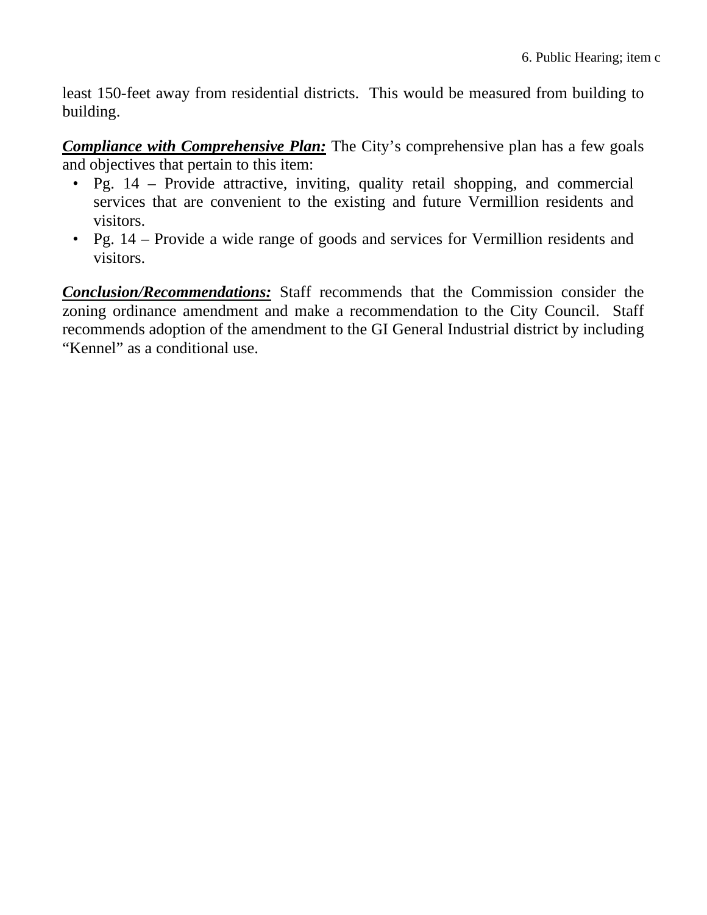least 150-feet away from residential districts. This would be measured from building to building.

*Compliance with Comprehensive Plan:* The City's comprehensive plan has a few goals and objectives that pertain to this item:

- Pg. 14 Provide attractive, inviting, quality retail shopping, and commercial services that are convenient to the existing and future Vermillion residents and visitors.
- Pg. 14 Provide a wide range of goods and services for Vermillion residents and visitors.

*Conclusion/Recommendations:* Staff recommends that the Commission consider the zoning ordinance amendment and make a recommendation to the City Council. Staff recommends adoption of the amendment to the GI General Industrial district by including "Kennel" as a conditional use.